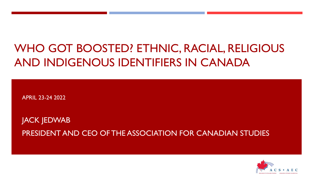# WHO GOT BOOSTED? ETHNIC, RACIAL, RELIGIOUS AND INDIGENOUS IDENTIFIERS IN CANADA

APRIL 23-24 2022

JACK JEDWAB PRESIDENT AND CEO OF THE ASSOCIATION FOR CANADIAN STUDIES

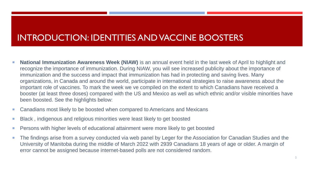## INTRODUCTION: IDENTITIES AND VACCINE BOOSTERS

- **National Immunization Awareness Week (NIAW)** is an annual event held in the last week of April to highlight and recognize the importance of immunization. During NIAW, you will see increased publicity about the importance of immunization and the success and impact that immunization has had in protecting and saving lives. Many organizations, in Canada and around the world, participate in international strategies to raise awareness about the important role of vaccines. To mark the week we ve compiled on the extent to which Canadians have received a booster (at least three doses) compared with the US and Mexico as well as which ethnic and/or visible minorities have been boosted. See the highlights below:
- Canadians most likely to be boosted when compared to Americans and Mexicans
- **Black**, indigenous and religious minorities were least likely to get boosted
- **Persons with higher levels of educational attainment were more likely to get boosted**
- The findings arise from a survey conducted via web panel by Leger for the Association for Canadian Studies and the University of Manitoba during the middle of March 2022 with 2939 Canadians 18 years of age or older. A margin of error cannot be assigned because internet-based polls are not considered random.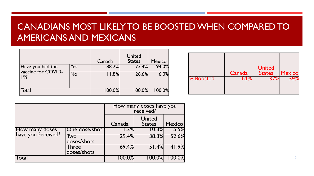## CANADIANS MOST LIKELY TO BE BOOSTED WHEN COMPARED TO AMERICANS AND MEXICANS

|                                              |     | Canada    | United<br><b>States</b> | <b>Mexico</b> |
|----------------------------------------------|-----|-----------|-------------------------|---------------|
| Have you had the<br>vaccine for COVID-<br>19 | Yes | 88.2%     | 73.4%                   | 94.0%         |
|                                              | No  | 11.8%     | 26.6%                   | 6.0%          |
| Total                                        |     | $100.0\%$ | $100.0\%$               | 100.0%        |

|           | Canada | <b>United</b><br><b>States</b> | <b>Mexico</b> |
|-----------|--------|--------------------------------|---------------|
| % Boosted | 51%    | 2 / Vc                         |               |

|                                      |                             | How many doses have you<br>received? |                                |        |  |
|--------------------------------------|-----------------------------|--------------------------------------|--------------------------------|--------|--|
|                                      |                             | Canada                               | <b>United</b><br><b>States</b> | Mexico |  |
| How many doses<br>have you received? | One dose/shot               | 1.2%                                 | 10.3%                          | 5.5%   |  |
|                                      | Two<br>doses/shots          | 29.4%                                | 38.3%                          | 52.6%  |  |
|                                      | <b>Three</b><br>doses/shots | 69.4%                                | 51.4%                          | 41.9%  |  |
| Total                                |                             | $100.0\%$                            | 100.0%                         | 100.0% |  |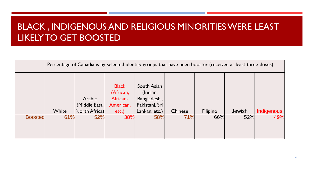# BLACK , INDIGENOUS AND RELIGIOUS MINORITIES WERE LEAST LIKELY TO GET BOOSTED

|                | Percentage of Canadians by selected identity groups that have been booster (received at least three doses) |                                          |                                                                |                                                                            |         |          |               |            |
|----------------|------------------------------------------------------------------------------------------------------------|------------------------------------------|----------------------------------------------------------------|----------------------------------------------------------------------------|---------|----------|---------------|------------|
|                | White                                                                                                      | Arabic<br>(Middle East,<br>North Africa) | <b>Black</b><br>(African,<br>African-<br>American,<br>$etc.$ ) | South Asian<br>(Indian,<br>Bangladeshi,<br>Pakistani, Sri<br>Lankan, etc.) | Chinese | Filipino | <b>Jewish</b> | Indigenous |
| <b>Boosted</b> | 61%                                                                                                        | 52%                                      | 38%                                                            | 58%                                                                        | 71%     | 66%      | 52%           | 49%        |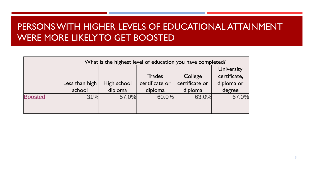# PERSONS WITH HIGHER LEVELS OF EDUCATIONAL ATTAINMENT WERE MORE LIKELY TO GET BOOSTED

|                | What is the highest level of education you have completed? |             |                |                |                                   |  |
|----------------|------------------------------------------------------------|-------------|----------------|----------------|-----------------------------------|--|
|                |                                                            |             | <b>Trades</b>  | College        | <b>University</b><br>certificate, |  |
|                | Less than high                                             | High school | certificate or | certificate or | diploma or                        |  |
|                | school                                                     | diploma     | diploma        | diploma        | degree                            |  |
| <b>Boosted</b> | 31%                                                        | 57.0%       | 60.0%          | 63.0%          | 67.0%                             |  |